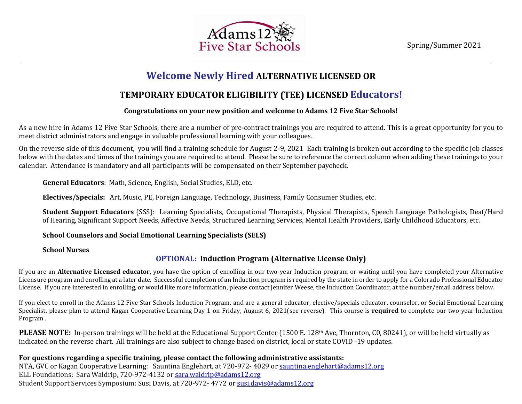Spring/Summer 2021



# **Welcome Newly Hired ALTERNATIVE LICENSED OR**  d

#### **TEMPORARY EDUCATOR ELIGIBILITY (TEE) LICENSED Educators!** c  $\mathbf{r}$

#### **Congratulations on your new position and welcome to Adams 12 Five Star Schools!** t i

As a new hire in Adams 12 Five Star Schools, there are a number of pre-contract trainings you are required to attend. This is a great opportunity for you to meet district administrators and engage in valuable professional learning with your colleagues. a  $\mathsf{r}$ 

On the reverse side of this document, you will find a training schedule for August 2-9, 2021 Each training is broken out according to the specific job classes l below with the dates and times of the trainings you are required to attend. Please be sure to reference the correct column when adding these trainings to your u calendar. Attendance is mandatory and all participants will be compensated on their September paycheck. p  $\overline{a}$ 

General Educators: Math, Science, English, Social Studies, ELD, etc.

 $\overline{a}$ 

**Electives/Specials:** Art, Music, PE, Foreign Language, Technology, Business, Family Consumer Studies, etc. t

Student Support Educators (SSS): Learning Specialists, Occupational Therapists, Physical Therapists, Speech Language Pathologists, Deaf/Hard of Hearing, Significant Support Needs, Affective Needs, Structured Learning Services, Mental Health Providers, Early Childhood Educators, etc. n

**School Counselors and Social Emotional Learning Specialists (SELS)** e

**School Nurses**

### **OPTIONAL: Induction Program (Alternative License Only)** *n*

If you are an **Alternative Licensed educator,** you have the option of enrolling in our two-year Induction program or waiting until you have completed your Alternative *u* Licensure program and enrolling at a later date. Successful completion of an Induction program is required by the state in order to apply for a Colorado Professional Educator *c* License. If you are interested in enrolling, or would like more information, please contact Jennifer Weese, the Induction Coordinator, at the number/email address below. *t*

If you elect to enroll in the Adams 12 Five Star Schools Induction Program, and are a general educator, elective/specials educator, counselor, or Social Emotional Learning *o* Specialist, please plan to attend Kagan Cooperative Learning Day 1 on Friday, August 6, 2021(see reverse). This course is **required** to complete our two year Induction *n*  Program .

PLEASE NOTE: In-person trainings will be held at the Educational Support Center (1500 E. 128th Ave, Thornton, C0, 80241), or will be held virtually as indicated on the reverse chart. All trainings are also subject to change based on district, local or state COVID -19 updates. *g*

### **For questions regarding a specific training, please contact the following administrative assistants:**  *a*

NTA, GVC or Kagan Cooperative Learning: Sauntina Englehart, at 720-972- 4029 or [sauntina.englehart@adams12.org](mailto:sauntina.englehart@adams12.org) *m* erry and the magnitude permitted at the magnitude and the control of the control of the control of the control of the control of the control of the control of the control of the control of the control of the control of the Student Support Services Symposium: Susi Davis, at 720-972- 4772 o[r susi.davis@adams12.org](mailto:susi.davis@adams12.org) 5  $\overline{a}$